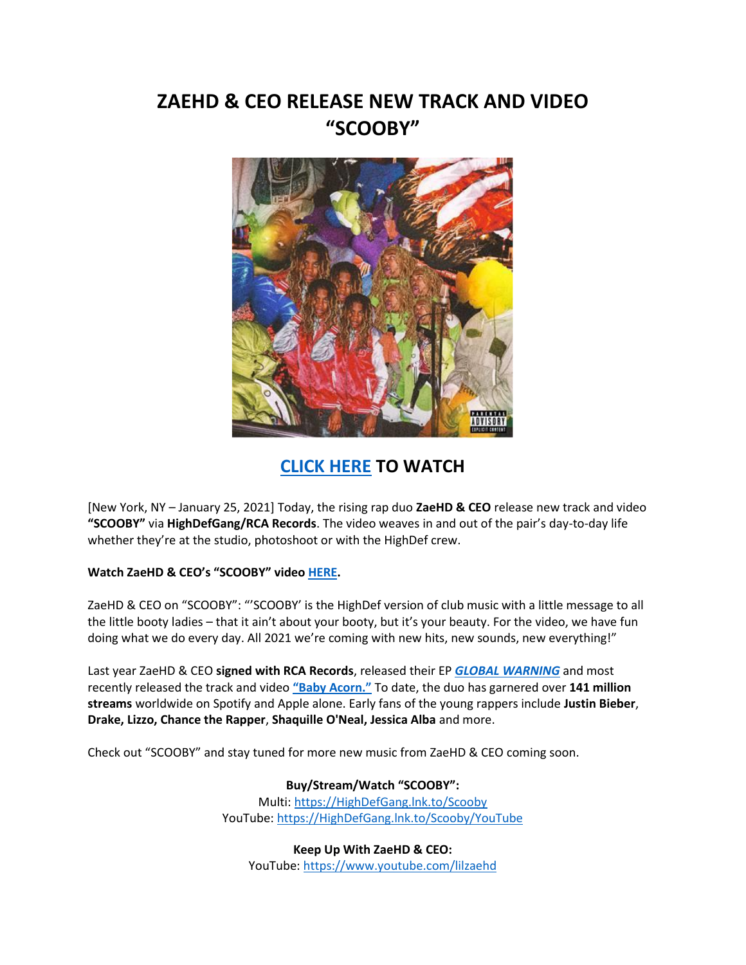# **ZAEHD & CEO RELEASE NEW TRACK AND VIDEO "SCOOBY"**



# **[CLICK HERE](https://highdefgang.lnk.to/Scooby/YouTube) TO WATCH**

[New York, NY – January 25, 2021] Today, the rising rap duo **ZaeHD & CEO** release new track and video **"SCOOBY"** via **HighDefGang/RCA Records**. The video weaves in and out of the pair's day-to-day life whether they're at the studio, photoshoot or with the HighDef crew.

## **Watch ZaeHD & CEO's "SCOOBY" video [HERE.](https://highdefgang.lnk.to/Scooby/YouTube)**

ZaeHD & CEO on "SCOOBY": "'SCOOBY' is the HighDef version of club music with a little message to all the little booty ladies – that it ain't about your booty, but it's your beauty. For the video, we have fun doing what we do every day. All 2021 we're coming with new hits, new sounds, new everything!"

Last year ZaeHD & CEO **signed with RCA Records**, released their EP *[GLOBAL WARNING](https://highdefgang.lnk.to/GlobalWarning)* and most recently released the track and video **["Baby Acorn."](https://www.youtube.com/watch?v=IuMTAxXJ-cU)** To date, the duo has garnered over **141 million streams** worldwide on Spotify and Apple alone. Early fans of the young rappers include **Justin Bieber**, **Drake, Lizzo, Chance the Rapper**, **Shaquille O'Neal, Jessica Alba** and more.

Check out "SCOOBY" and stay tuned for more new music from ZaeHD & CEO coming soon.

## **Buy/Stream/Watch "SCOOBY":**

Multi[: https://HighDefGang.lnk.to/Scooby](https://highdefgang.lnk.to/Scooby) YouTube: [https://HighDefGang.lnk.to/Scooby/YouTube](https://highdefgang.lnk.to/Scooby/YouTube)

**Keep Up With ZaeHD & CEO:** YouTube: [https://www.youtube.com/lilzaehd](https://eur01.safelinks.protection.outlook.com/?url=https%3A%2F%2Fwww.youtube.com%2Flilzaehd&data=02%7C01%7Camanda.zimmerman%40rcarecords.com%7C8a46ddc98d7b43ef42dd08d7e3272013%7Cf0aff3b791a54aaeaf71c63e1dda2049%7C0%7C0%7C637227629492513513&sdata=ZzDsxr8drVaKVM2A0O2w37k4HBGwmL6TUJROPvSyEBI%3D&reserved=0)